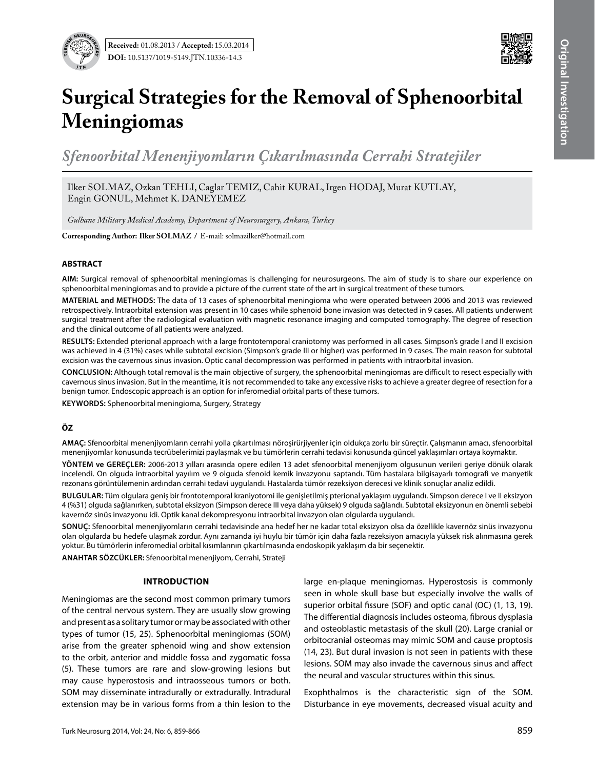



# **Surgical Strategies for the Removal of Sphenoorbital Meningiomas**

*Sfenoorbital Menenjiyomların Çıkarılmasında Cerrahi Stratejiler*

Ilker SOLMAZ, Ozkan TEHLI, Caglar TEMIZ, Cahit KURAL, Irgen HODAJ, Murat KUTLAY, Engin GONUL, Mehmet K. DANEYEMEZ

*Gulhane Military Medical Academy, Department of Neurosurgery, Ankara, Turkey*

**Corresponding Author: Ilker Solmaz /** E-mail: solmazilker@hotmail.com

## **ABSTRACT**

**AIm:** Surgical removal of sphenoorbital meningiomas is challenging for neurosurgeons. The aim of study is to share our experience on sphenoorbital meningiomas and to provide a picture of the current state of the art in surgical treatment of these tumors.

**MaterIal and Methods:** The data of 13 cases of sphenoorbital meningioma who were operated between 2006 and 2013 was reviewed retrospectively. Intraorbital extension was present in 10 cases while sphenoid bone invasion was detected in 9 cases. All patients underwent surgical treatment after the radiological evaluation with magnetic resonance imaging and computed tomography. The degree of resection and the clinical outcome of all patients were analyzed.

**Results:** Extended pterional approach with a large frontotemporal craniotomy was performed in all cases. Simpson's grade I and II excision was achieved in 4 (31%) cases while subtotal excision (Simpson's grade III or higher) was performed in 9 cases. The main reason for subtotal excision was the cavernous sinus invasion. Optic canal decompression was performed in patients with intraorbital invasion.

**ConclusIon:** Although total removal is the main objective of surgery, the sphenoorbital meningiomas are difficult to resect especially with cavernous sinus invasion. But in the meantime, it is not recommended to take any excessive risks to achieve a greater degree of resection for a benign tumor. Endoscopic approach is an option for inferomedial orbital parts of these tumors.

**Keywords:** Sphenoorbital meningioma, Surgery, Strategy

## **ÖZ**

**AMAÇ:** Sfenoorbital menenjiyomların cerrahi yolla çıkartılması nöroşirürjiyenler için oldukça zorlu bir süreçtir. Çalışmanın amacı, sfenoorbital menenjiyomlar konusunda tecrübelerimizi paylaşmak ve bu tümörlerin cerrahi tedavisi konusunda güncel yaklaşımları ortaya koymaktır.

**YÖNTEM ve GEREÇLER:** 2006-2013 yılları arasında opere edilen 13 adet sfenoorbital menenjiyom olgusunun verileri geriye dönük olarak incelendi. On olguda intraorbital yayılım ve 9 olguda sfenoid kemik invazyonu saptandı. Tüm hastalara bilgisayarlı tomografi ve manyetik rezonans görüntülemenin ardından cerrahi tedavi uygulandı. Hastalarda tümör rezeksiyon derecesi ve klinik sonuçlar analiz edildi.

**BULGULAR:** Tüm olgulara geniş bir frontotemporal kraniyotomi ile genişletilmiş pterional yaklaşım uygulandı. Simpson derece I ve II eksizyon 4 (%31) olguda sağlanırken, subtotal eksizyon (Simpson derece III veya daha yüksek) 9 olguda sağlandı. Subtotal eksizyonun en önemli sebebi kavernöz sinüs invazyonu idi. Optik kanal dekompresyonu intraorbital invazyon olan olgularda uygulandı.

**SONUÇ:** Sfenoorbital menenjiyomların cerrahi tedavisinde ana hedef her ne kadar total eksizyon olsa da özellikle kavernöz sinüs invazyonu olan olgularda bu hedefe ulaşmak zordur. Aynı zamanda iyi huylu bir tümör için daha fazla rezeksiyon amacıyla yüksek risk alınmasına gerek yoktur. Bu tümörlerin inferomedial orbital kısımlarının çıkartılmasında endoskopik yaklaşım da bir seçenektir.

**ANAHTAR SÖZCÜKLER:** Sfenoorbital menenjiyom, Cerrahi, Strateji

#### **Introduction**

Meningiomas are the second most common primary tumors of the central nervous system. They are usually slow growing and present as a solitary tumor or may be associated with other types of tumor (15, 25). Sphenoorbital meningiomas (SOM) arise from the greater sphenoid wing and show extension to the orbit, anterior and middle fossa and zygomatic fossa (5). These tumors are rare and slow-growing lesions but may cause hyperostosis and intraosseous tumors or both. SOM may disseminate intradurally or extradurally. Intradural extension may be in various forms from a thin lesion to the

large en-plaque meningiomas. Hyperostosis is commonly seen in whole skull base but especially involve the walls of superior orbital fissure (SOF) and optic canal (OC) (1, 13, 19). The differential diagnosis includes osteoma, fibrous dysplasia and osteoblastic metastasis of the skull (20). Large cranial or orbitocranial osteomas may mimic SOM and cause proptosis (14, 23). But dural invasion is not seen in patients with these lesions. SOM may also invade the cavernous sinus and affect the neural and vascular structures within this sinus.

Exophthalmos is the characteristic sign of the SOM. Disturbance in eye movements, decreased visual acuity and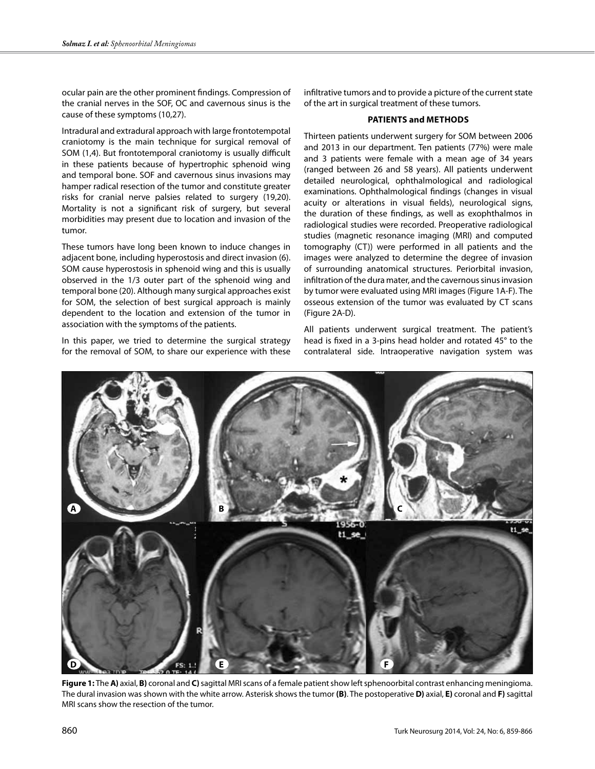ocular pain are the other prominent findings. Compression of the cranial nerves in the SOF, OC and cavernous sinus is the cause of these symptoms (10,27).

Intradural and extradural approach with large frontotempotal craniotomy is the main technique for surgical removal of SOM (1,4). But frontotemporal craniotomy is usually difficult in these patients because of hypertrophic sphenoid wing and temporal bone. SOF and cavernous sinus invasions may hamper radical resection of the tumor and constitute greater risks for cranial nerve palsies related to surgery (19,20). Mortality is not a significant risk of surgery, but several morbidities may present due to location and invasion of the tumor.

These tumors have long been known to induce changes in adjacent bone, including hyperostosis and direct invasion (6). SOM cause hyperostosis in sphenoid wing and this is usually observed in the 1/3 outer part of the sphenoid wing and temporal bone (20). Although many surgical approaches exist for SOM, the selection of best surgical approach is mainly dependent to the location and extension of the tumor in association with the symptoms of the patients.

In this paper, we tried to determine the surgical strategy for the removal of SOM, to share our experience with these

infiltrative tumors and to provide a picture of the current state of the art in surgical treatment of these tumors.

### **Patients and methods**

Thirteen patients underwent surgery for SOM between 2006 and 2013 in our department. Ten patients (77%) were male and 3 patients were female with a mean age of 34 years (ranged between 26 and 58 years). All patients underwent detailed neurological, ophthalmological and radiological examinations. Ophthalmological findings (changes in visual acuity or alterations in visual fields), neurological signs, the duration of these findings, as well as exophthalmos in radiological studies were recorded. Preoperative radiological studies (magnetic resonance imaging (MRI) and computed tomography (CT)) were performed in all patients and the images were analyzed to determine the degree of invasion of surrounding anatomical structures. Periorbital invasion, infiltration of the dura mater, and the cavernous sinus invasion by tumor were evaluated using MRI images (Figure 1A-F). The osseous extension of the tumor was evaluated by CT scans (Figure 2A-D).

All patients underwent surgical treatment. The patient's head is fixed in a 3-pins head holder and rotated 45° to the contralateral side. Intraoperative navigation system was



**Figure 1:** The **A)** axial, **B)** coronal and **C)** sagittal MRI scans of a female patient show left sphenoorbital contrast enhancing meningioma. The dural invasion was shown with the white arrow. Asterisk shows the tumor **(B)**. The postoperative **D)** axial, **E)** coronal and **F)** sagittal MRI scans show the resection of the tumor.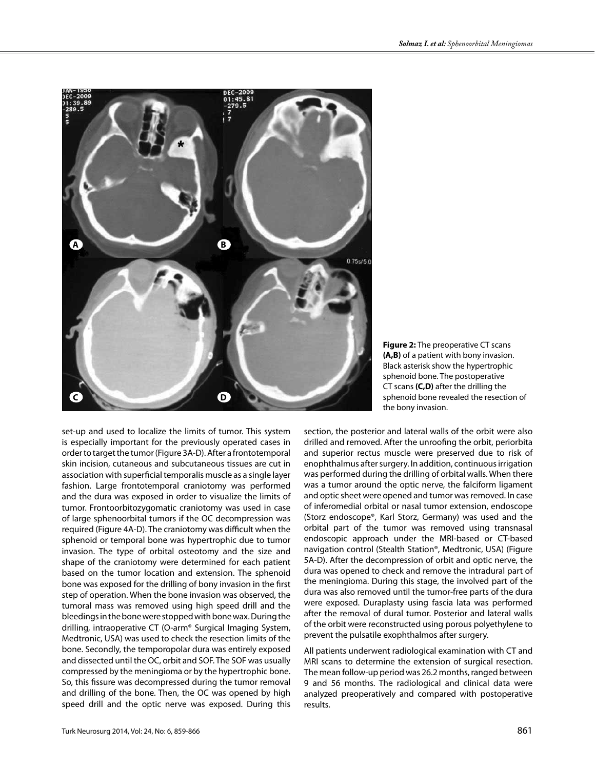

**Figure 2:** The preoperative CT scans **(A,B)** of a patient with bony invasion. Black asterisk show the hypertrophic sphenoid bone. The postoperative CT scans **(C,D)** after the drilling the sphenoid bone revealed the resection of the bony invasion.

set-up and used to localize the limits of tumor. This system is especially important for the previously operated cases in order to target the tumor (Figure 3A-D). After a frontotemporal skin incision, cutaneous and subcutaneous tissues are cut in association with superficial temporalis muscle as a single layer fashion. Large frontotemporal craniotomy was performed and the dura was exposed in order to visualize the limits of tumor. Frontoorbitozygomatic craniotomy was used in case of large sphenoorbital tumors if the OC decompression was required (Figure 4A-D). The craniotomy was difficult when the sphenoid or temporal bone was hypertrophic due to tumor invasion. The type of orbital osteotomy and the size and shape of the craniotomy were determined for each patient based on the tumor location and extension. The sphenoid bone was exposed for the drilling of bony invasion in the first step of operation. When the bone invasion was observed, the tumoral mass was removed using high speed drill and the bleedings in the bone were stopped with bone wax. During the drilling, intraoperative CT (O-arm® Surgical Imaging System, Medtronic, USA) was used to check the resection limits of the bone. Secondly, the temporopolar dura was entirely exposed and dissected until the OC, orbit and SOF. The SOF was usually compressed by the meningioma or by the hypertrophic bone. So, this fissure was decompressed during the tumor removal and drilling of the bone. Then, the OC was opened by high speed drill and the optic nerve was exposed. During this

section, the posterior and lateral walls of the orbit were also drilled and removed. After the unroofing the orbit, periorbita and superior rectus muscle were preserved due to risk of enophthalmus after surgery. In addition, continuous irrigation was performed during the drilling of orbital walls. When there was a tumor around the optic nerve, the falciform ligament and optic sheet were opened and tumor was removed. In case of inferomedial orbital or nasal tumor extension, endoscope (Storz endoscope®, Karl Storz, Germany) was used and the orbital part of the tumor was removed using transnasal endoscopic approach under the MRI-based or CT-based navigation control (Stealth Station®, Medtronic, USA) (Figure 5A-D). After the decompression of orbit and optic nerve, the dura was opened to check and remove the intradural part of the meningioma. During this stage, the involved part of the dura was also removed until the tumor-free parts of the dura were exposed. Duraplasty using fascia lata was performed after the removal of dural tumor. Posterior and lateral walls of the orbit were reconstructed using porous polyethylene to prevent the pulsatile exophthalmos after surgery.

All patients underwent radiological examination with CT and MRI scans to determine the extension of surgical resection. The mean follow-up period was 26.2 months, ranged between 9 and 56 months. The radiological and clinical data were analyzed preoperatively and compared with postoperative results.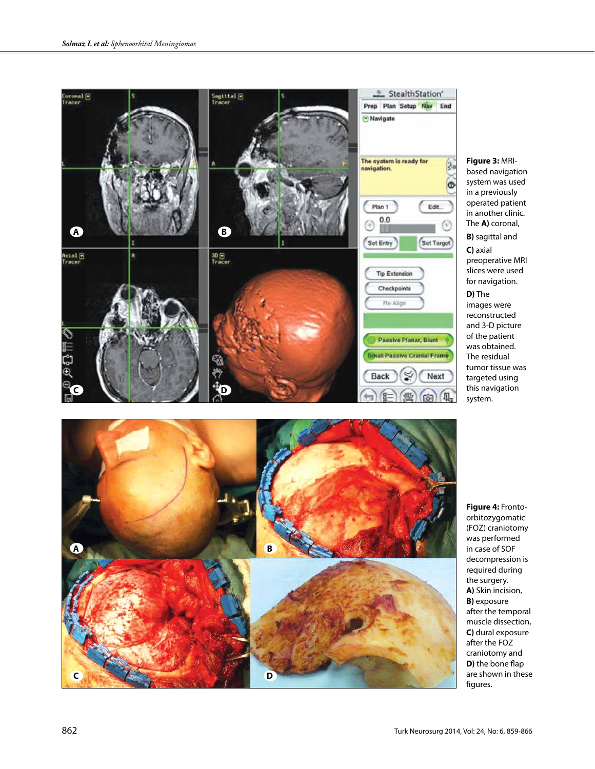



**Figure 3:** MRIbased navigation system was used in a previously operated patient in another clinic. The **A)** coronal, **B)** sagittal and **C)** axial preoperative MRI

slices were used for navigation. **D)** The images were reconstructed and 3-D picture of the patient was obtained. The residual

tumor tissue was targeted using this navigation system.

**Figure 4:** Frontoorbitozygomatic (FOZ) craniotomy was performed in case of SOF decompression is required during the surgery. **A)** Skin incision, **B)** exposure after the temporal muscle dissection, **C)** dural exposure after the FOZ craniotomy and **D)** the bone flap are shown in these figures.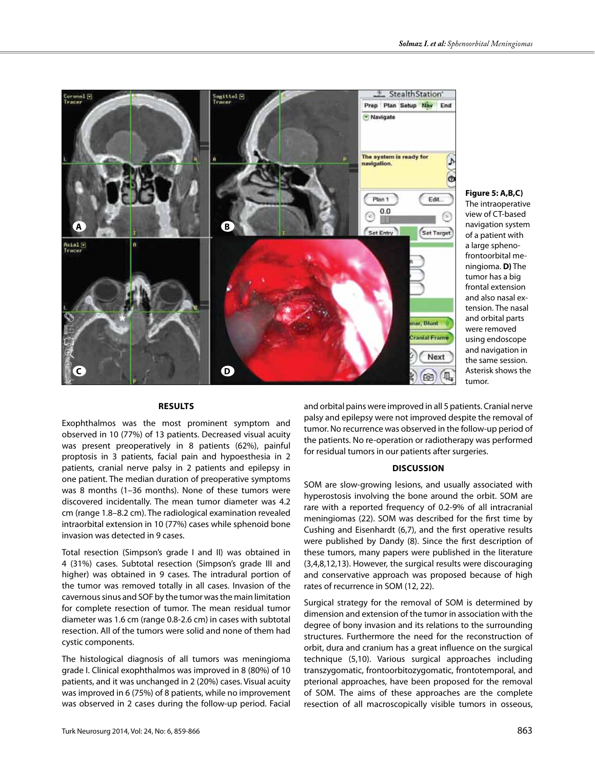

**Figure 5: A,B,C)**  The intraoperative

view of CT-based navigation system of a patient with a large sphenofrontoorbital meningioma. **D)** The tumor has a big frontal extension and also nasal extension. The nasal and orbital parts were removed using endoscope and navigation in the same session. Asterisk shows the tumor.

### **Results**

Exophthalmos was the most prominent symptom and observed in 10 (77%) of 13 patients. Decreased visual acuity was present preoperatively in 8 patients (62%), painful proptosis in 3 patients, facial pain and hypoesthesia in 2 patients, cranial nerve palsy in 2 patients and epilepsy in one patient. The median duration of preoperative symptoms was 8 months (1–36 months). None of these tumors were discovered incidentally. The mean tumor diameter was 4.2 cm (range 1.8–8.2 cm). The radiological examination revealed intraorbital extension in 10 (77%) cases while sphenoid bone invasion was detected in 9 cases.

Total resection (Simpson's grade I and II) was obtained in 4 (31%) cases. Subtotal resection (Simpson's grade III and higher) was obtained in 9 cases. The intradural portion of the tumor was removed totally in all cases. Invasion of the cavernous sinus and SOF by the tumor was the main limitation for complete resection of tumor. The mean residual tumor diameter was 1.6 cm (range 0.8-2.6 cm) in cases with subtotal resection. All of the tumors were solid and none of them had cystic components.

The histological diagnosis of all tumors was meningioma grade I. Clinical exophthalmos was improved in 8 (80%) of 10 patients, and it was unchanged in 2 (20%) cases. Visual acuity was improved in 6 (75%) of 8 patients, while no improvement was observed in 2 cases during the follow-up period. Facial

and conservative approach was proposed because of high rates of recurrence in SOM (12, 22). Surgical strategy for the removal of SOM is determined by

dimension and extension of the tumor in association with the degree of bony invasion and its relations to the surrounding structures. Furthermore the need for the reconstruction of orbit, dura and cranium has a great influence on the surgical technique (5,10). Various surgical approaches including transzygomatic, frontoorbitozygomatic, frontotemporal, and pterional approaches, have been proposed for the removal of SOM. The aims of these approaches are the complete resection of all macroscopically visible tumors in osseous,

and orbital pains were improved in all 5 patients. Cranial nerve palsy and epilepsy were not improved despite the removal of tumor. No recurrence was observed in the follow-up period of the patients. No re-operation or radiotherapy was performed

**Discussion** SOM are slow-growing lesions, and usually associated with hyperostosis involving the bone around the orbit. SOM are rare with a reported frequency of 0.2-9% of all intracranial meningiomas (22). SOM was described for the first time by Cushing and Eisenhardt (6,7), and the first operative results were published by Dandy (8). Since the first description of these tumors, many papers were published in the literature (3,4,8,12,13). However, the surgical results were discouraging

for residual tumors in our patients after surgeries.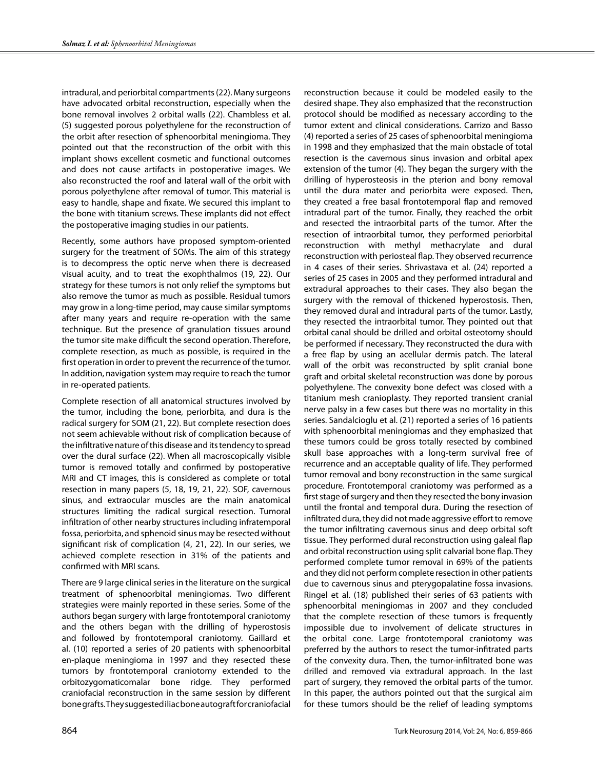intradural, and periorbital compartments (22). Many surgeons have advocated orbital reconstruction, especially when the bone removal involves 2 orbital walls (22). Chambless et al. (5) suggested porous polyethylene for the reconstruction of the orbit after resection of sphenoorbital meningioma. They pointed out that the reconstruction of the orbit with this implant shows excellent cosmetic and functional outcomes and does not cause artifacts in postoperative images. We also reconstructed the roof and lateral wall of the orbit with porous polyethylene after removal of tumor. This material is easy to handle, shape and fixate. We secured this implant to the bone with titanium screws. These implants did not effect the postoperative imaging studies in our patients.

Recently, some authors have proposed symptom-oriented surgery for the treatment of SOMs. The aim of this strategy is to decompress the optic nerve when there is decreased visual acuity, and to treat the exophthalmos (19, 22). Our strategy for these tumors is not only relief the symptoms but also remove the tumor as much as possible. Residual tumors may grow in a long-time period, may cause similar symptoms after many years and require re-operation with the same technique. But the presence of granulation tissues around the tumor site make difficult the second operation. Therefore, complete resection, as much as possible, is required in the first operation in order to prevent the recurrence of the tumor. In addition, navigation system may require to reach the tumor in re-operated patients.

Complete resection of all anatomical structures involved by the tumor, including the bone, periorbita, and dura is the radical surgery for SOM (21, 22). But complete resection does not seem achievable without risk of complication because of the infiltrative nature of this disease and its tendency to spread over the dural surface (22). When all macroscopically visible tumor is removed totally and confirmed by postoperative MRI and CT images, this is considered as complete or total resection in many papers (5, 18, 19, 21, 22). SOF, cavernous sinus, and extraocular muscles are the main anatomical structures limiting the radical surgical resection. Tumoral infiltration of other nearby structures including infratemporal fossa, periorbita, and sphenoid sinus may be resected without significant risk of complication (4, 21, 22). In our series, we achieved complete resection in 31% of the patients and confirmed with MRI scans.

There are 9 large clinical series in the literature on the surgical treatment of sphenoorbital meningiomas. Two different strategies were mainly reported in these series. Some of the authors began surgery with large frontotemporal craniotomy and the others began with the drilling of hyperostosis and followed by frontotemporal craniotomy. Gaillard et al. (10) reported a series of 20 patients with sphenoorbital en-plaque meningioma in 1997 and they resected these tumors by frontotemporal craniotomy extended to the orbitozygomaticomalar bone ridge. They performed craniofacial reconstruction in the same session by different bone grafts. They suggested iliac bone autograft for craniofacial

reconstruction because it could be modeled easily to the desired shape. They also emphasized that the reconstruction protocol should be modified as necessary according to the tumor extent and clinical considerations. Carrizo and Basso (4) reported a series of 25 cases of sphenoorbital meningioma in 1998 and they emphasized that the main obstacle of total resection is the cavernous sinus invasion and orbital apex extension of the tumor (4). They began the surgery with the drilling of hyperosteosis in the pterion and bony removal until the dura mater and periorbita were exposed. Then, they created a free basal frontotemporal flap and removed intradural part of the tumor. Finally, they reached the orbit and resected the intraorbital parts of the tumor. After the resection of intraorbital tumor, they performed periorbital reconstruction with methyl methacrylate and dural reconstruction with periosteal flap. They observed recurrence in 4 cases of their series. Shrivastava et al. (24) reported a series of 25 cases in 2005 and they performed intradural and extradural approaches to their cases. They also began the surgery with the removal of thickened hyperostosis. Then, they removed dural and intradural parts of the tumor. Lastly, they resected the intraorbital tumor. They pointed out that orbital canal should be drilled and orbital osteotomy should be performed if necessary. They reconstructed the dura with a free flap by using an acellular dermis patch. The lateral wall of the orbit was reconstructed by split cranial bone graft and orbital skeletal reconstruction was done by porous polyethylene. The convexity bone defect was closed with a titanium mesh cranioplasty. They reported transient cranial nerve palsy in a few cases but there was no mortality in this series. Sandalcioglu et al. (21) reported a series of 16 patients with sphenoorbital meningiomas and they emphasized that these tumors could be gross totally resected by combined skull base approaches with a long-term survival free of recurrence and an acceptable quality of life. They performed tumor removal and bony reconstruction in the same surgical procedure. Frontotemporal craniotomy was performed as a first stage of surgery and then they resected the bony invasion until the frontal and temporal dura. During the resection of infiltrated dura, they did not made aggressive effort to remove the tumor infiltrating cavernous sinus and deep orbital soft tissue. They performed dural reconstruction using galeal flap and orbital reconstruction using split calvarial bone flap. They performed complete tumor removal in 69% of the patients and they did not perform complete resection in other patients due to cavernous sinus and pterygopalatine fossa invasions. Ringel et al. (18) published their series of 63 patients with sphenoorbital meningiomas in 2007 and they concluded that the complete resection of these tumors is frequently impossible due to involvement of delicate structures in the orbital cone. Large frontotemporal craniotomy was preferred by the authors to resect the tumor-infitrated parts of the convexity dura. Then, the tumor-infiltrated bone was drilled and removed via extradural approach. In the last part of surgery, they removed the orbital parts of the tumor. In this paper, the authors pointed out that the surgical aim for these tumors should be the relief of leading symptoms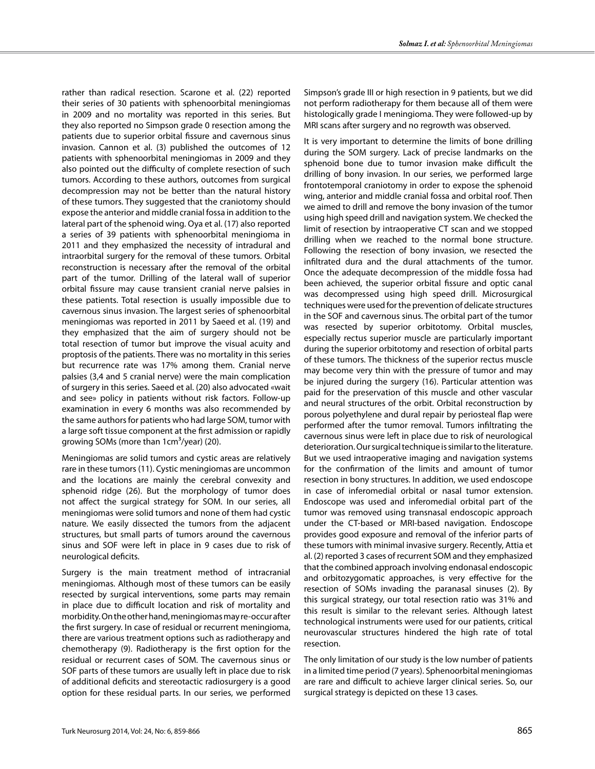rather than radical resection. Scarone et al. (22) reported their series of 30 patients with sphenoorbital meningiomas in 2009 and no mortality was reported in this series. But they also reported no Simpson grade 0 resection among the patients due to superior orbital fissure and cavernous sinus invasion. Cannon et al. (3) published the outcomes of 12 patients with sphenoorbital meningiomas in 2009 and they also pointed out the difficulty of complete resection of such tumors. According to these authors, outcomes from surgical decompression may not be better than the natural history of these tumors. They suggested that the craniotomy should expose the anterior and middle cranial fossa in addition to the lateral part of the sphenoid wing. Oya et al. (17) also reported a series of 39 patients with sphenoorbital meningioma in 2011 and they emphasized the necessity of intradural and intraorbital surgery for the removal of these tumors. Orbital reconstruction is necessary after the removal of the orbital part of the tumor. Drilling of the lateral wall of superior orbital fissure may cause transient cranial nerve palsies in these patients. Total resection is usually impossible due to cavernous sinus invasion. The largest series of sphenoorbital meningiomas was reported in 2011 by Saeed et al. (19) and they emphasized that the aim of surgery should not be total resection of tumor but improve the visual acuity and proptosis of the patients. There was no mortality in this series but recurrence rate was 17% among them. Cranial nerve palsies (3,4 and 5 cranial nerve) were the main complication of surgery in this series. Saeed et al. (20) also advocated «wait and see» policy in patients without risk factors. Follow-up examination in every 6 months was also recommended by the same authors for patients who had large SOM, tumor with a large soft tissue component at the first admission or rapidly growing SOMs (more than  $1 \text{cm}^3/\text{year}$ ) (20).

Meningiomas are solid tumors and cystic areas are relatively rare in these tumors (11). Cystic meningiomas are uncommon and the locations are mainly the cerebral convexity and sphenoid ridge (26). But the morphology of tumor does not affect the surgical strategy for SOM. In our series, all meningiomas were solid tumors and none of them had cystic nature. We easily dissected the tumors from the adjacent structures, but small parts of tumors around the cavernous sinus and SOF were left in place in 9 cases due to risk of neurological deficits.

Surgery is the main treatment method of intracranial meningiomas. Although most of these tumors can be easily resected by surgical interventions, some parts may remain in place due to difficult location and risk of mortality and morbidity. On the other hand, meningiomas may re-occur after the first surgery. In case of residual or recurrent meningioma, there are various treatment options such as radiotherapy and chemotherapy (9). Radiotherapy is the first option for the residual or recurrent cases of SOM. The cavernous sinus or SOF parts of these tumors are usually left in place due to risk of additional deficits and stereotactic radiosurgery is a good option for these residual parts. In our series, we performed

Simpson's grade III or high resection in 9 patients, but we did not perform radiotherapy for them because all of them were histologically grade I meningioma. They were followed-up by MRI scans after surgery and no regrowth was observed.

It is very important to determine the limits of bone drilling during the SOM surgery. Lack of precise landmarks on the sphenoid bone due to tumor invasion make difficult the drilling of bony invasion. In our series, we performed large frontotemporal craniotomy in order to expose the sphenoid wing, anterior and middle cranial fossa and orbital roof. Then we aimed to drill and remove the bony invasion of the tumor using high speed drill and navigation system. We checked the limit of resection by intraoperative CT scan and we stopped drilling when we reached to the normal bone structure. Following the resection of bony invasion, we resected the infiltrated dura and the dural attachments of the tumor. Once the adequate decompression of the middle fossa had been achieved, the superior orbital fissure and optic canal was decompressed using high speed drill. Microsurgical techniques were used for the prevention of delicate structures in the SOF and cavernous sinus. The orbital part of the tumor was resected by superior orbitotomy. Orbital muscles, especially rectus superior muscle are particularly important during the superior orbitotomy and resection of orbital parts of these tumors. The thickness of the superior rectus muscle may become very thin with the pressure of tumor and may be injured during the surgery (16). Particular attention was paid for the preservation of this muscle and other vascular and neural structures of the orbit. Orbital reconstruction by porous polyethylene and dural repair by periosteal flap were performed after the tumor removal. Tumors infiltrating the cavernous sinus were left in place due to risk of neurological deterioration. Our surgical technique is similar to the literature. But we used intraoperative imaging and navigation systems for the confirmation of the limits and amount of tumor resection in bony structures. In addition, we used endoscope in case of inferomedial orbital or nasal tumor extension. Endoscope was used and inferomedial orbital part of the tumor was removed using transnasal endoscopic approach under the CT-based or MRI-based navigation. Endoscope provides good exposure and removal of the inferior parts of these tumors with minimal invasive surgery. Recently, Attia et al. (2) reported 3 cases of recurrent SOM and they emphasized that the combined approach involving endonasal endoscopic and orbitozygomatic approaches, is very effective for the resection of SOMs invading the paranasal sinuses (2). By this surgical strategy, our total resection ratio was 31% and this result is similar to the relevant series. Although latest technological instruments were used for our patients, critical neurovascular structures hindered the high rate of total resection.

The only limitation of our study is the low number of patients in a limited time period (7 years). Sphenoorbital meningiomas are rare and difficult to achieve larger clinical series. So, our surgical strategy is depicted on these 13 cases.